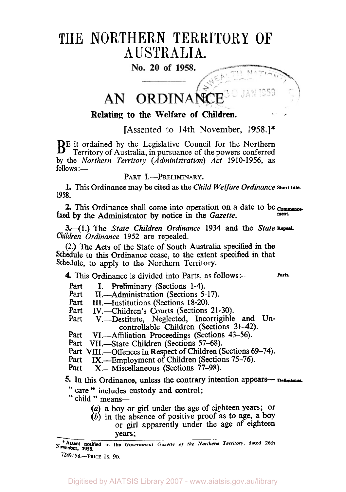# THE NORTHERN TERRITORY OF AUSTRALIA.

No. 20 of 1958.

#### ORDINANCE AN.

## **Relating to the Welfare of Children.**

[Assented to 14th November, **1958.]\*** 

B<sup>E</sup> it ordained by the Legislative Council for the Northern Territory of Australia, in pursuance of the powers conferred by the *Northern Territory (Administration) Act* **1910-1956,** as  $follows$  :—

## PART I.-PRELIMINARY.

**1.** This Ordinance may be cited **as** the *Child Welfare Ordinance* **short title. 1958.** 

2. This Ordinance shall come into operation on a date to be commenced by the Administrator by notice in the *Caratta* fixed by the Administrator by notice in the *Gazette*.

**3.-(1.)** The *State Children Ordinance 1934* and the *State Children Ordinance* **1952** are repealed.

(2.) **The Acts** of the State of South Australia specified in the Schedule to this Ordinance cease, to the extent **specified** in that Schedule, to **apply** to the Northern Territory.

**4.** This Ordinance is divided into Parts, as follows:— Parts.

Part I.—Preliminary (Sections 1-4).<br>Part II —Administration (Sections 5-

Part II.—Administration (Sections 5-17).<br>Part III —Institutions (Sections 18-20).

**Part III.—Institutions (Sections 18-20).**<br>**Part IV—Children's Courts (Sections**)

Part IV.-Children's Courts (Sections **21-30).** 

V.-Destitute, Neglected, Incorrigible and Uncontrollable Children (Sections 31-42).

Part VI.—Affiliation Proceedings (Sections 43–56)

Part VII.-State Children (Sections 57-68).

Part VIII.—Offences in Respect of Children (Sections 69-74).<br>Part IX.—Employment of Children (Sections 75-76).

Part IX.--Employment of Children (Sections 75-76).<br>Part X — Miscellaneous (Sections 77-98).

X.-Miscellaneous (Sections 77-98).

5. In this Ordinance, unless the contrary intention appears- Definitions.

" care " includes custody and control;

" child " means-

*(a) a* boy or girl under the age *of* eighteen years; or

*(b)* in the absence of positive proof **as** to age, a **boy**  or girl apparently under the age **of** eighteen **Years;** 

**November, 1958. \*Assent notified in the** *Government Gazette of the Northern Territory,* **dated 26th** 

**789/58.-PRICE IS. 9D.**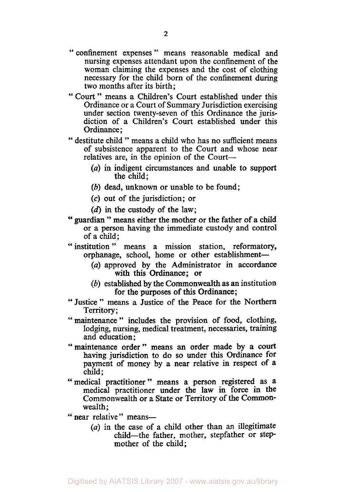- " confinement expenses " means reasonable medical and nursing expenses attendant upon the confinement of the woman claiming the expenses and the cost of clothing necessary for the child born of the confinement during two months after its birth;
- " Court " means a Children's Court established under this Ordinance or a Court of Summary Jurisdiction exercising under section twenty-seven of this Ordinance the jurisdiction of a Children's Court established under this Ordinance ;
- " destitute child " means a child who has no sufficient means of subsistence apparent to the Court and whose near relatives are, in the opinion of the Court-
	- *(a)* in indigent circumstances and unable to support the child;
	- *(b)* dead, unknown or unable to be found:
	- *(c)* out of the jurisdiction; or
	- **(d)** in the custody of the law;
- '' guardian " means either the mother or the father of a child or a person having the immediate custody and control of a child;
- "institution " means a mission station, reformatory, orphanage, school, home or other establishment-
	- *(a)* approved by the Administrator in accordance with this Ordinance; or
	- (b) established by the Commonwealth as an institution for the purposes of this Ordinance;
- '' Justice " means a Justice of the Peace for the Northern Territory;
- " maintenance " includes the provision of food, clothing, lodging, nursing, medical treatment, necessaries, training and education ;
- "maintenance order" means **an** order made by a court having jurisdiction to do so under this Ordinance for payment of money by a near relative in respect of a child;
- "medical practitioner" means a person registered as a medical practitioner under the law in force in the Commonwealth or a State or Territory of the Commonwealth;
- " near relative" means-
	- *(a)* in the case of a child other than an illegitimate child-the father, mother, stepfather or stepmother of the child;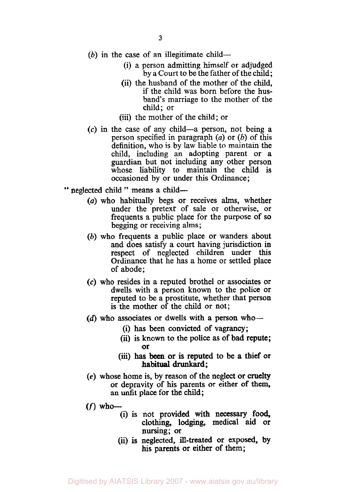- $(b)$  in the case of an illegitimate child-
	- (i) a person admitting himself or adjudged by a Court to be the father of the child;
	- (ii) the husband of the mother of the child, if the child was born before the husband's marriage to the mother of the child; or
	- (iii) the mother of the child; or
- **(c)** in the case of any child-a person, not being a person specified in paragraph *(a)* or (b) of this definition, who is by law liable to maintain the child, including an adopting parent or a guardian but not including any other person whose liability to maintain the child is occasioned by or under this Ordinance;
- " neglected child " means a child-
	- *(a)* who habitually begs or receives alms, whether under the pretext of sale or otherwise, or frequents a public place for the purpose of **so**  begging or receiving alms;
	- (b) who frequents a public place or wanders about and does satisfy a court having jurisdiction in respect of neglected children under this Ordinance that he has a home or settled place of abode;
	- *(c)* who resides in a reputed brothel or associates or dwells with a person known to the police or reputed to be a prostitute, whether that person is the mother of the child or not;
	- (d) who associates or dwells with a person who-
		- (i) has been convicted of vagrancy;
		- (ii) is known to the police as of bad repute; or
		- (iii) has been or is reputed to be a thief or habitual drunkard;
	- **(e)** whose home is, by reason of the neglect or cruelty or depravity of his parents or either of them, an unfit place for the child;
	- *(f)* **who-** 
		- (i) is not provided with necessary **food,**  clothing, lodging, medical aid or nursing; or
		- (ii) is neglected, ill-treated or exposed, by **his** parents or either of them;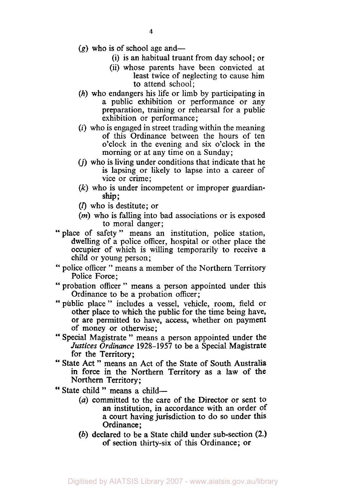- $(g)$  who is of school age and-
	- (i) **is** an habitual truant from day school; or
	- (ii) whose parents have been convicted at least twice of neglecting to cause him to attend school;
- *(h)* who endangers his life or limb by participating in a public exhibition or performance or any preparation, training or rehearsal for a public exhibition or performance;
- *(i)* who is engaged in street trading within the meaning of this Ordinance between the hours of ten o'clock in the evening and six o'clock in the morning or at any time on a Sunday;
- (j) who is living under conditions that indicate that he is lapsing or likely to lapse into a career of vice or crime;
- *(k)* who is under incompetent or improper guardian ship;
- $(l)$  who is destitute; or
- *(m)* who **is** falling into bad associations or is exposed to moral danger;
- " place of safety" means an institution, police station, dwelling of a police officer, hospital or other place the occupier of which is willing temporarily to receive a child or young person;
- " police officer " means a member of the Northern Territory Police Force;
- " probation officer " means a person appointed under this Ordinance to be a probation officer;
- "public place" includes a vessel, vehicle, room, field or other place to which the public for the time being have, **or** are permitted to have, access, whether on payment of money or otherwise;
- " Special Magistrate " means a person appointed under the *Justices Ordinance* 1928-1957 to be a Special Magistrate for the Territory;
- '' State Act " means an Act of the State of **South** Australia in force in the Northern Territory **as** *a* law of the Northern Territory;
- " State child " means a child-
	- *(a)* committed to the care of the Director or sent to an institution, in accordance with an order of **a** court having jurisdiction to do so under this Ordinance ;
	- *(b)* declared to be a State child under sub-section **(2.)**  of section thirty-six of this Ordinance; or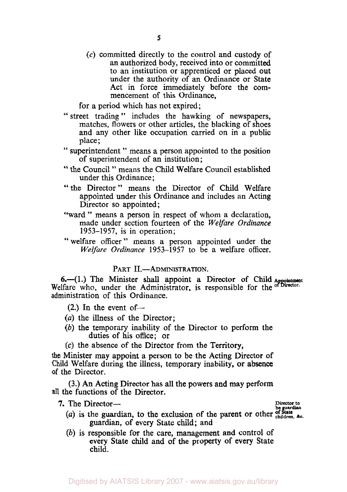**(c)** committed directly to the control and custody of an authorized body, received into or committed to an institution or apprenticed or placed out under the authority of an Ordinance or State Act in force immediately before the commencement of this Ordinance,

for a period which has not expired;

- " street trading " includes the hawking of newspapers, matches, flowers or other articles, the blacking of shoes and any other like occupation carried on in a public place;
- " superintendent " means a person appointed to the position of superintendent of an institution;
- " the Council " means the Child Welfare Council established under this Ordinance;
- "the Director" means the Director of Child Welfare appointed under this Ordinance and includes an Acting Director so appointed;
- "ward" means a person in respect of whom a declaration, made under section fourteen of the *Welfare Ordinance*  1953-1957, is in operation;
- "welfare officer" means a person appointed under the *Welfare Ordinance* 1953-1957 to be a welfare officer.

## PART **II.-ADMINISTRATION.**

6.-(1.) The Minister shall appoint a Director of Child Appointment Welfare who, under the Administrator, is responsible for the **of Director.**  administration of this Ordinance.

 $(2.)$  In the event of-

- *(a)* the illness of the Director;
- *(b)* the temporary inability of the Director to perform the duties of his office; or
- **(c)** the absence of the Director from the Territory,

the Minister may appoint a person to be the Acting Director **of**  Child Welfare during the illness, temporary inability, or **absence of** the Director.

**(3.) An** Acting Director has all the powers and may perform **all** the functions of the Director.

**7.** The Director-

- The Director <del>be guardian</del><br>
(a) is the guardian, to the exclusion of the parent or other children. &c. guardian, of every State child; and
- *(b)* is responsible for the care, management and control of every **State** child and of the property of every State child.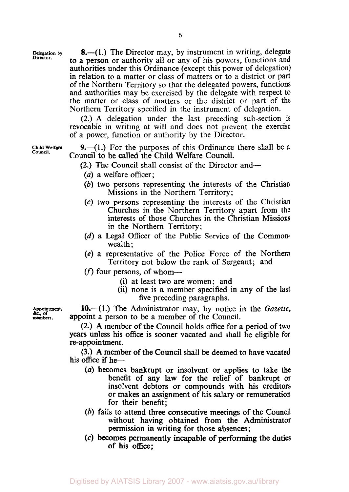Delegation by<br>Director.

**8.**—(1.) The Director may, by instrument in writing, delegate to a person or authority all or any of his powers, functions and authorities under this Ordinance (except this power of delegation) in relation to a matter or class of matters or to a district or part of the Northern Territory *so* that the delegated powers, functions and authorities may be exercised by the delegate with respect to the matter or class of matters or the district or part of the Northern Territory specified in the instrument of delegation.

**(2.) A** delegation under the last preceding sub-section is revocable in writing at will and does not prevent the exercise of a power, function or authority by the Director.

**Child Welfare** 

**9.**-(1.) For the purposes of this Ordinance there shall be a Council to be called the Child Welfare Council.

**(2.)** The Council shall consist of the Director and-

- *(a)* a welfare officer;
- *(b)* two persons representing the interests of the Christian Missions in the Northern Territory;
- *(c)* two persons representing the interests of the Christian Churches in the Northern Territory apart from the interests of those Churches in the Christian Missions in the Northern Territory;
- **(d)** a Legal Officer of the Public Service of the Commonwealth;
- **(e)** a representative of the Police Force of the Northern Territory not below the rank of Sergeant; and
- $(f)$  four persons, of whom--
	- (i) at least two are women; and
	- (ii) none is a member specified in any of the last five preceding paragraphs.

**10.**—(1.) The Administrator may, by notice in the *Gazette*, appoint a person to be a member of the Council.

**(2.) A** member of the Council holds office for a period of two **years** unless his office is sooner vacated and shall be eligible for re-appointment.

**(3.) A** member of the Council shall be deemed to have vacated his office if he-

- (a) becomes bankrupt or insolvent or applies to take the benefit of any law for the relief of bankrupt or insolvent debtors or compounds with his creditors or makes an assignment of **his** salary or remuneration for their benefit;
- *(b)* fails to attend three consecutive meetings of the Council without having obtained from the Administrator permission in writing for those absences;
- **(c)** becomes permanently incapable **of** performing the duties of his **office;**

**Appointment.**  &c., **of members.**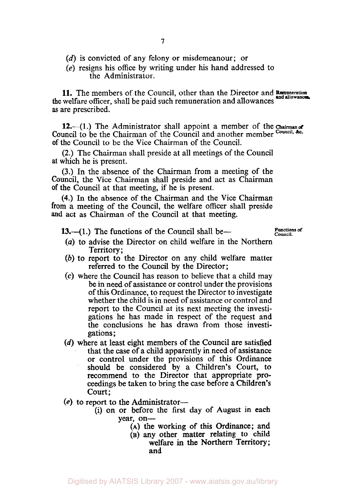- (d) is convicted of any felony or misdemeanour; or
- (e) resigns his office by writing under his hand addressed to the Administrator.

11. The members of the Council, other than the Director and *Remuneration and allowances*  the welfare officer, shall be paid such remuneration and allowances and allowances. **as** are prescribed.

12.—(1.) The Administrator shall appoint a member of the *Chairman of* Council to be the Chairman of the Council and another member Council. *&c.*  of the Council to be the Vice Chairman of the Council.

(2.) The Chairman shall preside at all meetings of the Council at which he is present.

(3.) In the absence of the Chairman from a meeting of the Council, the Vice Chairman shall preside and act as Chairman of the Council at that meeting, if he is present.

**(4.)** In the absence of the Chairman and the Vice Chairman from a meeting of the Council, the welfare officer shall preside **and** act as Chairman of the Council at that meeting.

**13.**-(1.) The functions of the Council shall be-<br>Council.

- *(a)* to advise the Director on child welfare in the Northern Territory;
- *(b)* to report to the Director on any child welfare matter referred to the Council by the Director;
- **(c)** where the Council has reason to believe that a child may be in need of assistance or control under the provisions of this Ordinance, to request the Director to investigate whether the child is in need of assistance or control and report to the Council at its next meeting the investigations he has made in respect of the request and the conclusions he has drawn from those investigations ;
- **(d)** where at least eight members of the Council are satisfied that the case of a child apparently in need of assistance or control under the provisions of this Ordinance should be considered by a Children's Court, to recommend to the Director that appropriate proceedings be taken to bring the case before a Children's court;
- **(e)** to report to the Administrator-
	- (i) on or before the first day of August in each year, on-
		- (A) the working of **this** Ordinance; and
			- (B) **any** other matter relating to child welfare in the Northern Territory; and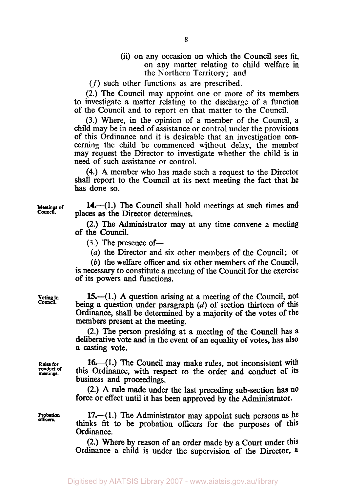(ii) on any occasion on which the Council sees fit, on any matter relating to child welfare in the Northern Territory; and

*(f)* such other functions as are prescribed.

(2.) The Council may appoint one or more of its members to investigate a matter relating to the discharge of a function of the Council and to report on that matter to the Council.

(3.) Where, in the opinion of a member of the Council, a child may be in need of assistance or control under the provisions of this Ordinance and it is desirable that an investigation concerning the child be commenced without delay, the member may request the Director to investigate whether the child is in need of such assistance or control.

**(4.)** A member who has made such a request to the Director shall report to the Council at its next meeting the fact that he has done so.

**14.**—(1.) The Council shall hold meetings at such times and Meetings of **14.** (1.) The Council shall homeonly places as the Director determines.

> (2.) The Administrator may at any time convene a meeting of the Council.

 $(3.)$  The presence of-

*(a)* the Director and six other members of the Council; or

(6) the welfare officer and six other members of the Council, is necessary to constitute a meeting of the Council for the exercise of its powers and functions.

**15.**-(1.) A question arising at a meeting of the Council, not being a question under paragraph  $(d)$  of section thirteen of this Ordinance, shall be determined by **a** majority of the votes of the members present at the meeting.

(2.) The person presiding at a meeting of the Council has **a**  deliberative vote and in the event of an equality of votes, has also **a** casting vote.

**16.**—(1.) The Council may make rules, not inconsistent with this Ordinance, with respect to the order and conduct of its business and proceedings.

(2.) A rule made under the last preceding **subsection** has **no**  force or effect until it has been approved by the Administrator.

**Probation 17.**—(1.) The Administrator may appoint such persons as he thinks fit to be probation officers for the purposes of this Ordinance.

> (2.) Where by reason of an order made by a Court under this Ordinance a child is under the supervision of the Director, **a**

**Council.** 

**Rules for conduct** of **meetings**.

*officers.*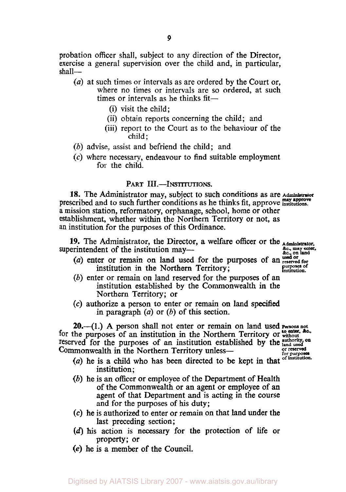probation officer shall, subject to any direction of the Director, exercise a general supervision over the child and, in particular, shall-

- *(a)* at such times or intervals as are ordered by the Court or, where no times or intervals are so ordered, at such times or intervals as he thinks fit-
	- (i) visit the child;
	- (ii) obtain reports concerning the child; and
	- (iii) report to the Court as to the behaviour of the child;
- *(b)* advise, assist and befriend the child; and
- (c) where necessary, endeavour to find suitable employment for the child.

#### **PART III.-INSTITUTIONS.**

**18.** The Administrator may, subject to such conditions as are **Administrator may approve** prescribed and to such further conditions as he thinks fit, approve. **institutions.**  a mission station, reformatory, orphanage, school, home or other establishment, whether within the Northern Territory or not, as an institution for the purposes of this Ordinance.

**19.** The Administrator, the Director, a welfare officer or the  $\Delta_{\text{diminstructor}}$  events, exteribly consider the institution may— &c **may enter.** &c., **on land**  superintendent of the institution may—

- **used or** *(a)* enter or remain on land **used** for the purposes of an **reserved for purposes of** institution in the Northern Territory; **institution.**
- *(b)* enter or remain on land reserved for the purposes of an institution established by the Commonwealth in the Northern Territory; or
- *(c)* authorize a person to enter or remain **on** land specified in paragraph *(a)* or *(b)* of this section.

*20.-(1.)* **A** person shall not enter or remain on land used **Persons not to enter.** *&c.* for the purposes of an institution in the Northern Territory or **without**  reserved for the purposes of an institution established by the *authority* on<br>Commonwealth in the Northern Territory unless— **Commonwealth in the Northern Territory unless-<br>
contained by the composer of purposes in the Continuum** 

- 
- (a) he is a child who has been directed to be kept in that institution;
- *(b)* he is an officer or employee of the Department of Health of the Commonwealth or an agent or employee of an agent of that Department and is acting in the course and for the purposes of his duty;
- *(c)* he is authorized to enter or remain on that land under the last preceding section;
- (d) his action is necessary for the protection of life or property; or
- **(e)** he is a member **of** the **Council.**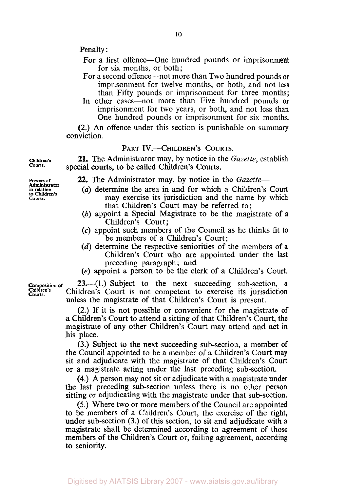Penalty :

- For a first offence—One hundred pounds or imprisonment for six months, or both;
- For a second offence—not more than Two hundred pounds or imprisonment for twelve months, or both, and not less than Fifty pounds or imprisonment for three months;
- In other cases—not more than Five hundred pounds or imprisonment for two years, or both, and not less than One hundred pounds or imprisonment for six months.

(2.) An offence under this section is punishable on summary conviction.

### PART IV.-CHILDREN'S COURTS.

**21.** The Administrator may, by notice in the *Gazette,* establish special courts, to be called Children's Courts.

- **22.** The Administrator may, by notice in the *Gazette*
	- **to Children's** *(a)* determine the area in and for which a Children's Court may exercise its jurisdiction and the name by which that Children's Court may be referred to ;
- *(b)* appoint a Special Magistrate to be the magistrate of a Children's Court ;
- **(c)** appoint such members of the Council as he thinks fit to be members of a Children's Court;
- *(d)* determine the respective seniorities of the members of a Children's Court who are appointed under the last preceding paragraph; and
- *(e)* appoint a person to be the clerk **of** a Children's Court.

**Composition of 23.-(1.)** Subject to the next succeeding sub-section, a Children's Court is not compatent to exercise its invisibilition Children's Children's Court is not competent to exercise its jurisdiction unless the magistrate of that Children's Court is present.

> (2.) If it is not possible or convenient for the magistrate of a Children's Court to attend a sitting of that Children's Court, the magistrate of any other Children's **Court** may attend and act in his place.

> **(3.)** Subject to the next succeeding sub-section, a member of the Council appointed to be a member of a Children's Court may sit and adjudicate with the magistrate of that Children's Court or a magistrate acting under the last preceding sub-section.

> **(4.) A** person may not sit or adjudicate with a magistrate under the last preceding sub-section unless there is no other person sitting or adjudicating with the magistrate under that sub-section.

> *(5.)* Where two or more members of the Council are appointed to be members of a Children's Court, the exercise of the right, under sub-section **(3.)** of this section, to sit and adjudicate with a magistrate shall be determined according **to** agreement of those members of the Children's Court or, failing agreement, according **to** seniority.

**Children's Courts.** 

**Powers of m** relation<br>to Children's **Courts. Administrator**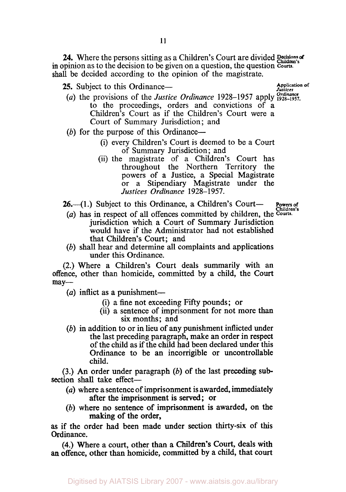24. Where the persons sitting as a Children's Court are divided Becisions of in opinion as to the decision to be given on a question, the question *Courts.*  shall be decided according to the opinion of the magistrate.

25. Subject to this Ordinance—

**Application** *of Justices* 

- *Ordinance*  (a) the provisions of the *Justice Ordinance* 1928-1957 apply **1928-1957.**  to the proceedings, orders and convictions of a Children's Court as if the Children's Court were a Court of Summary Jurisdiction; and
- (b) for the purpose of this Ordinance--
	- (i) every Children's Court is deemed to be a Court of Summary Jurisdiction; and
	- (ii) the magistrate of a Children's Court has throughout the Northern Territory the powers of a Justice, a Special Magistrate or a Stipendiary Magistrate under the *Justices Ordinance* 1928-1957.

26.—(1.) Subject to this Ordinance, a Children's Court— **Powers of** 

- (a) has in respect of all offences committed by children, the Courts. jurisdiction which a Court of Summary Jurisdiction would have if the Administrator had not established that Children's Court; and
- (b) shall hear and determine all complaints and applications under this Ordinance.

(2.) Where a Children's Court deals summarily with an offence, other than homicide, committed by a child, the Court  $may-$ 

- $(a)$  inflict as a punishment-
	- (i) a fine not exceeding Fifty pounds; or
	- (ii) a sentence of imprisonment for not more than six months; and
- (b) in addition to or in lieu of any punishment inflicted under the last preceding paragraph, make an order in respect of the child as if the child had been declared under this Ordinance to be an incorrigible or uncontrollable child.

(3.) *An* order under paragraph (b) of the last preceding **sub**section shall take effect-

- *(a)* where a sentence of imprisonment is awarded, immediately after the imprisonment is served; or
- (b) where no sentence of imprisonment is awarded, on the making of the order,

**as** if the order had been made under section thirty-six of this Ordinance.

**(4.)** Where a court, other than a Children's Court, deals with **an** offence, other than homicide, committed by a child, that **court**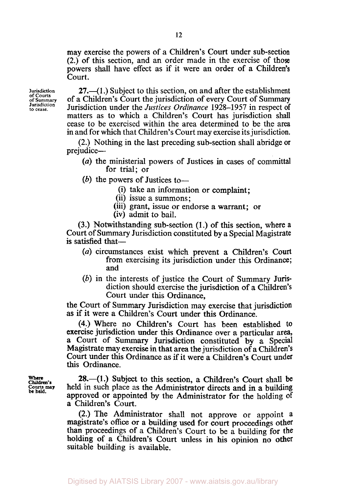may exercise the powers of a Children's Court under sub-section (2.) of this section, and an order made in the exercise of those powers shall have effect as if it were an order of a Children's Court.

**Jurisdiction of courts of Summary Jurisdiction to cease.** 

 $27.$ —(1.) Subject to this section, on and after the establishment of a Children's Court the jurisdiction of every Court of Summary Jurisdiction under the *Justices* Ordinance 1928-1957 in respect of matters as to which a Children's Court has jurisdiction shall cease to be exercised within the area determined to be the area in and for which that Children's Court may exercise its jurisdiction.

(2.) Nothing in the last preceding sub-section shall abridge or prejudice-

- *(a)* the ministerial powers of Justices in cases of committal for trial; or
- (b) the powers of Justices to-
	- (i) take an information or complaint;
	- (ii) issue a summons;
	- (iii) grant, issue or endorse a warrant; or
	- (iv) admit to bail.

(3.) Notwithstanding sub-section (1.) of this section, where **a**  Court of Summary Jurisdiction constituted by a Special Magistrate is satisfied that-

- *(a)* circumstances exist which prevent a Children's Court from exercising its jurisdiction under this Ordinance; and
- (b) in the interests of justice the Court of Summary Jurisdiction should exercise the jurisdiction of a Children's Court under this Ordinance,

the Court of **Summary** Jurisdiction may exercise that jurisdiction as if it were a Children's Court under this Ordinance.

**(4.)** Where no Children's Court has been established to exercise jurisdiction under **this** Ordinance over a particular area, a Court of Summary Jurisdiction constituted by a Special Magistrate may exercise in that area the jurisdiction of a Children's Court under this Ordinance as if it were a Children's Court under this Ordinance.

Where **Where Children's Courts may be held.** 

**28.**—(1.) Subject to this section, a Children's Court shall be held in such place as the Administrator directs and in a building approved or appointed by the Administrator for the holding of **a** Children's Court.

(2.) The Administrator shall not approve or appoint a magistrate's **office** or a building used for court proceedings other than proceedings of a Children's Court to be a building for the holding of a Children's Court unless in **his** opinion no other suitable building is available.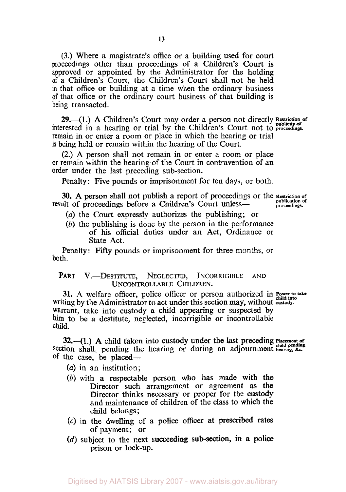**(3.)** Where a magistrate's office or a building used for court proceedings other than proceedings of a Children's Court is approved or appointed by the Administrator for the holding of a Children's Court, the Children's Court shall not be held in that office or building at a time when the ordinary business of that office or the ordinary court business of that building is being transacted.

interested in a hearing or trial by the Children's Court not to **proceedings.**  remain in or enter a room or place in which the hearing or trial is being held or remain within the hearing **of** the Court. **29.**-(1.) A Children's Court may order a person not directly **Restriction** of

(2.) **A** person shall not remain in or enter a room or place or remain within the hearing of the Court in contravention of an order under the last preceding sub-section.

Penalty: Five pounds or imprisonment for ten days, or both.

**30. A** person shall **not** publish a report of proceedings or the **Restriction of**  result of proceedings before a Children's Court unless- **publication** c

- *(a)* the Court expressly authorizes the publishing; or
- *(b)* the publishing is done by the person in the performance of his official duties under an Act, Ordinance or State Act.

Penalty: Fifty pounds or imprisonment for three months, or both.

#### PART **V.**-DESTITUTE, NEGLECTED, INCORRIGIBLE AND **UNCONTROLLABLE CHILDREN.**

**31.** A welfare officer, police officer or person authorized in **Power to take** writing by the Administrator to act under this section may, without **custody.**  Warrant, take into custody a child appearing or suspected by **him** to be a destitute, neglected, incorrigible or incontrollable child.

**32.**-(1.) A child taken into custody under the last preceding Placement of section shall, pending the hearing or during an adjournment **hearing.** *&c.*  of the case, be placed—

- *(a)* in an institution;
- *(b)* with a respectable person who has made with the Director such arrangement or agreement as the Director thinks necessary or proper for the custody and maintenance of children of the class to which the child belongs ;
- **(c)** in the dwelling of a police officer at prescribed rates of payment; or
- *(d)* subject to the **next** succeeding **sub-section, in a police**  prison or lock-up.